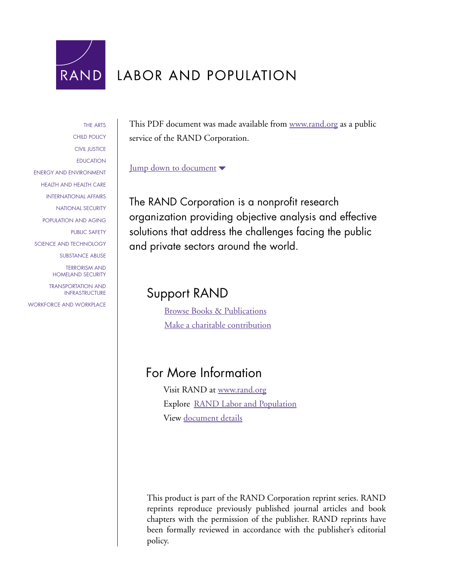

# LABOR AND POPULATION

[THE ARTS](http://www.rand.org/pdfrd/research_areas/arts/) [CHILD POLICY](http://www.rand.org/pdfrd/research_areas/children/) [CIVIL JUSTICE](http://www.rand.org/pdfrd/research_areas/civil_justice/) [EDUCATION](http://www.rand.org/pdfrd/research_areas/education/) [ENERGY AND ENVIRONMENT](http://www.rand.org/pdfrd/research_areas/energy_environment/) [HEALTH AND HEALTH CARE](http://www.rand.org/pdfrd/research_areas/health/) [INTERNATIONAL AFFAIRS](http://www.rand.org/pdfrd/research_areas/international_affairs/) [NATIONAL SECURITY](http://www.rand.org/pdfrd/research_areas/national_security/) [POPULATION AND AGING](http://www.rand.org/pdfrd/research_areas/population/) [PUBLIC SAFETY](http://www.rand.org/pdfrd/research_areas/public_safety/) [SCIENCE AND TECHNOLOGY](http://www.rand.org/pdfrd/research_areas/science_technology/) [SUBSTANCE ABUSE](http://www.rand.org/pdfrd/research_areas/substance_abuse/) [TERRORISM AND](http://www.rand.org/pdfrd/research_areas/terrorism/)  [HOMELAND SECURITY](http://www.rand.org/pdfrd/research_areas/terrorism/) [TRANSPORTATION AND](http://www.rand.org/pdfrd/research_areas/infrastructure/) [INFRASTRUCTURE](http://www.rand.org/pdfrd/research_areas/infrastructure/) [WORKFORCE AND](http://www.rand.org/pdfrd/research_areas/workforce/) WORKPLACE

This PDF document was made available from [www.rand.org](http://www.rand.org/pdfrd/) as a public service of the RAND Corporation.

## [Jump down to document](#page-1-0)

The RAND Corporation is a nonprofit research organization providing objective analysis and effective solutions that address the challenges facing the public and private sectors around the world.

# Support RAND

[Browse Books & Publications](http://www.rand.org/pdfrd/publications/electronic/) [Make a charitable contribution](http://www.rand.org/pdfrd/giving/contribute.html)

# For More Information

Visit RAND at [www.rand.org](http://www.rand.org/pdfrd/) Explore [RAND Labor and Population](http://www.rand.org/pdfrd/labor/) View [document details](http://www.rand.org/pdfrd/publications/RP/RP1195/)

This product is part of the RAND Corporation reprint series. RAND reprints reproduce previously published journal articles and book chapters with the permission of the publisher. RAND reprints have been formally reviewed in accordance with the publisher's editorial policy.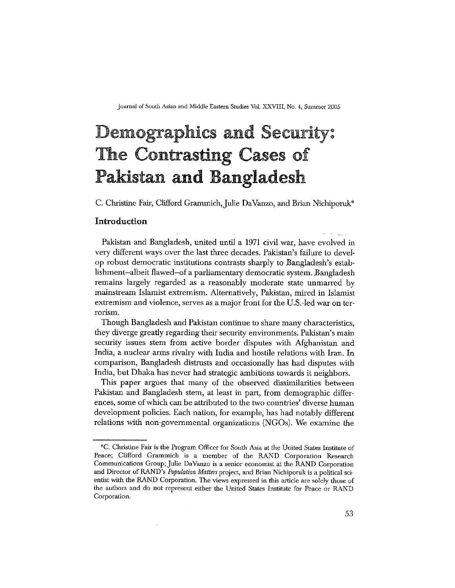Journal of South Asian and Middle Eastern Studies Vol. XXVIII, No. 4, Summer 2005

# **Demographics and Security:** The Contrasting Cases of **Pakistan and Bangladesh**

C. Christine Fair, Clifford Grammich, Julie DaVanzo, and Brian Nichiporuk\*

#### Introduction

Pakistan and Bangladesh, united until a 1971 civil war, have evolved in very different ways over the last three decades. Pakistan's failure to develop robust democratic institutions contrasts sharply to Bangladesh's establishment-albeit flawed-of a parliamentary democratic system. Bangladesh remains largely regarded as a reasonably moderate state unmarred by mainstream Islamist extremism. Alternatively, Pakistan, mired in Islamist extremism and violence, serves as a major front for the U.S.-led war on terrorism.

Though Bangladesh and Pakistan continue to share many characteristics, they diverge greatly regarding their security environments. Pakistan's main security issues stem from active border disputes with Afghanistan and India, a nuclear arms rivalry with India and hostile relations with Iran. In comparison, Bangladesh distrusts and occasionally has had disputes with India, but Dhaka has never had strategic ambitions towards it neighbors.

This paper argues that many of the observed dissimilarities between Pakistan and Bangladesh stem, at least in part, from demographic differences, some of which can be attributed to the two countries' diverse human development policies. Each nation, for example, has had notably different relations with non-governmental organizations (NGOs). We examine the

<sup>\*</sup>C. Christine Fair is the Program Officer for South Asia at the United States Institute of Peace; Clifford Grammich is a member of the RAND Corporation Research Communications Group; Julie DaVanzo is a senior economist at the RAND Corporation and Director of RAND's *Population Matters* project, and Brian Nichiporuk is a political scientist with the RAND Corporation. The views expressed in this article are solely those of the authors and do not represent either the United States Institute for Peace or RAND Corporation.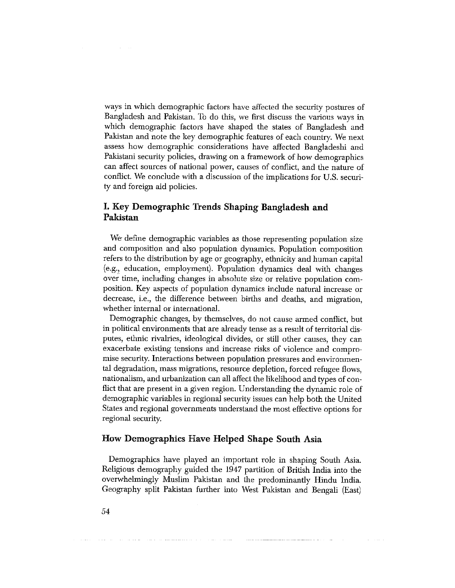ways in which demographic factors have affected the security postures of Bangladesh and Pakistan. To do this, we first discuss the various ways in which demographic factors have shaped the states of Bangladesh and Pakistan and note the key demographic features of each country. We next assess how demographic considerations have affected Bangladeshi and Pakistani security policies, drawing on a framework of how demographics can affect sources of national power, causes of conflict, and the nature of conflict. We conclude with a discussion of the implications for U.S. security and foreign aid policies.

## I. Key Demographic Trends Shaping Bangladesh and Pakistan

We define demographic variables as those representing population size and composition and also population dynamics. Population composition refers to the distribution by age or geography, ethnicity and human capital (e.g., education, employment). Population dynamics deal with changes over time, including changes in absolute size or relative population composition. Key aspects of population dynamics include natural increase or decrease, i.e., the difference between births and deaths, and migration, whether internal or international.

Demographic changes, by themselves, do not cause armed conflict, but in political environments that are already tense as a result of territorial disputes, ethnic rivalries, ideological divides, or still other causes, they can exacerbate existing tensions and increase risks of violence and compromise security. Interactions between population pressures and environmental degradation, mass migrations, resource depletion, forced refugee flows, nationalism, and urbanization can all affect the likelihood and types of conflict that are present in a given region. Understanding the dynamic role of demographic variables in regional security issues can help both the United States and regional governments understand the most effective options for regional security.

#### How Demographics Have Helped Shape South Asia

Demographics have played an important role in shaping South Asia. Religious demography guided the 1947 partition of British India into the overwhelmingly Muslim Pakistan and the predominantly Hindu India. Geography split Pakistan further into West Pakistan and Bengali (East)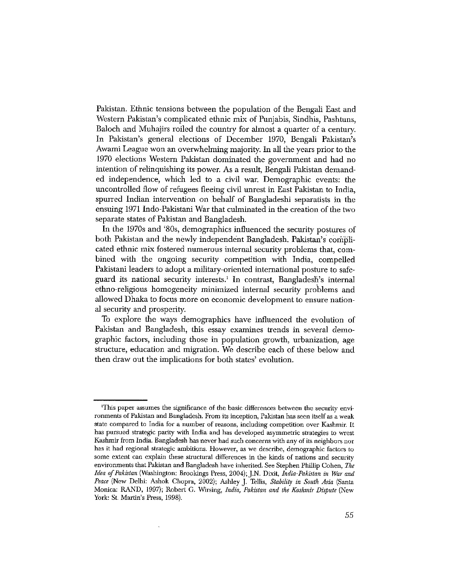Pakistan. Ethnic tensions between the population of the Bengali East and Western Pakistan's complicated ethnic mix of Punjabis, Sindhis, Pashtuns, Baloch and Muhajirs roiled the country for almost a quarter of a century. In Pakistan's general elections of December 1970, Bengali Pakistan's Awami League won an overwhelming majority. In all the years prior to the 1970 elections Western Pakistan dominated the government and had no intention of relinquishing its power. As a result, Bengali Pakistan demanded independence, which led to a civil war. Demographic events: the uncontrolled flow of refugees fleeing civil unrest in East Pakistan to India, spurred Indian intervention on behalf of Bangladeshi separatists in the ensuing 1971 Indo-Pakistani War that culminated in the creation of the two separate states of Pakistan and Bangladesh.

In the 1970s and '80s, demographics influenced the security postures of both Pakistan and the newly independent Bangladesh. Pakistan's complicated ethnic mix fostered numerous internal security problems that, combined with the ongoing security competition with India, compelled Pakistani leaders to adopt a military-oriented international posture to safeguard its national security interests.<sup>1</sup> In contrast, Bangladesh's internal ethno-religious homogeneity minimized internal security problems and allowed Dhaka to focus more on economic development to ensure national security and prosperity.

To explore the ways demographics have influenced the evolution of Pakistan and Bangladesh, this essay examines trends in several demographic factors, including those in population growth, urbanization, age structure, education and migration. We describe each of these below and then draw out the implications for both states' evolution.

<sup>&#</sup>x27;This paper assumes the significance of the basic differences between the security environments of Pakistan and Bangladesh. From its inception, Pakistan has seen itself as a weak state compared to India for a number of reasons, including competition over Kashmir. It has pursued strategic parity with India and has developed asymmetric strategies to wrest Kashmir from India. Bangladesh has never had such concerns with any of its neighbors nor has it had regional strategic ambitions. However, as we describe, demographic factors to some extent can explain these structural differences in the kinds of nations and security environments that Pakistan and Bangladesh have inherited. See Stephen Phillip Cohen, The Idea of Pakistan (Washington: Brookings Press, 2004); J.N. Dixit, India-Pakistan in War and Peace (New Delhi: Ashok Chopra, 2002); Ashley J. Tellis, Stability in South Asia (Santa Monica: RAND, 1997); Robert G. Wirsing, India, Pakistan and the Kashmir Dispute (New York: St. Martin's Press, 1998).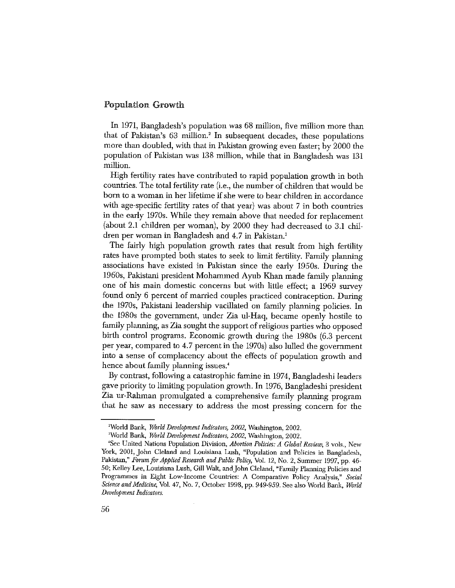#### **Population Growth**

In 1971, Bangladesh's population was 68 million, five million more than that of Pakistan's 63 million.<sup>2</sup> In subsequent decades, these populations more than doubled, with that in Pakistan growing even faster; by 2000 the population of Pakistan was 138 million, while that in Bangladesh was 131 million.

High fertility rates have contributed to rapid population growth in both countries. The total fertility rate (i.e., the number of children that would be born to a woman in her lifetime if she were to bear children in accordance with age-specific fertility rates of that year) was about 7 in both countries in the early 1970s. While they remain above that needed for replacement (about 2.1 children per woman), by 2000 they had decreased to 3.1 children per woman in Bangladesh and 4.7 in Pakistan.<sup>3</sup>

The fairly high population growth rates that result from high fertility rates have prompted both states to seek to limit fertility. Family planning associations have existed in Pakistan since the early 1950s. During the 1960s, Pakistani president Mohammed Ayub Khan made family planning one of his main domestic concerns but with little effect; a 1969 survey found only 6 percent of married couples practiced contraception. During the 1970s, Pakistani leadership vacillated on family planning policies. In the 1980s the government, under Zia ul-Haq, became openly hostile to family planning, as Zia sought the support of religious parties who opposed birth control programs. Economic growth during the 1980s (6.3 percent per year, compared to 4.7 percent in the 1970s) also lulled the government into a sense of complacency about the effects of population growth and hence about family planning issues.<sup>4</sup>

By contrast, following a catastrophic famine in 1974, Bangladeshi leaders gave priority to limiting population growth. In 1976, Bangladeshi president Zia ur-Rahman promulgated a comprehensive family planning program that he saw as necessary to address the most pressing concern for the

<sup>&</sup>lt;sup>2</sup>World Bank, World Development Indicators, 2002, Washington, 2002.

<sup>&</sup>lt;sup>3</sup>World Bank, World Development Indicators, 2002, Washington, 2002.

<sup>&#</sup>x27;See United Nations Population Division, Abortion Policies: A Global Review, 3 vols., New York, 2001, John Cleland and Louisiana Lush, "Population and Policies in Bangladesh, Pakistan," Forum for Applied Research and Public Policy, Vol. 12, No. 2, Summer 1997, pp. 46-50; Kelley Lee, Louisiana Lush, Gill Walt, and John Cleland, "Family Planning Policies and Programmes in Eight Low-Income Countries: A Comparative Policy Analysis," Social Science and Medicine, Vol. 47, No. 7, October 1998, pp. 949-959. See also World Bank, World Development Indicators.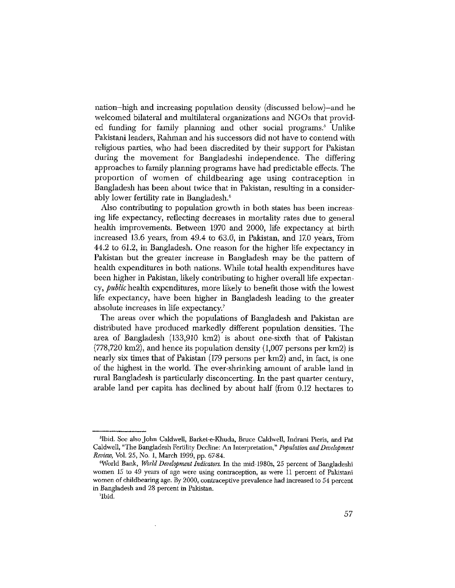nation-high and increasing population density (discussed below)-and he welcomed bilateral and multilateral organizations and NGOs that provided funding for family planning and other social programs.<sup>5</sup> Unlike Pakistani leaders, Rahman and his successors did not have to contend with religious parties, who had been discredited by their support for Pakistan during the movement for Bangladeshi independence. The differing approaches to family planning programs have had predictable effects. The proportion of women of childbearing age using contraception in Bangladesh has been about twice that in Pakistan, resulting in a considerably lower fertility rate in Bangladesh.<sup>6</sup>

Also contributing to population growth in both states has been increasing life expectancy, reflecting decreases in mortality rates due to general health improvements. Between 1970 and 2000, life expectancy at birth increased 13.6 years, from 49.4 to 63.0, in Pakistan, and 17.0 years, from 44.2 to 61.2, in Bangladesh. One reason for the higher life expectancy in Pakistan but the greater increase in Bangladesh may be the pattern of health expenditures in both nations. While total health expenditures have been higher in Pakistan, likely contributing to higher overall life expectancy, *public* health expenditures, more likely to benefit those with the lowest life expectancy, have been higher in Bangladesh leading to the greater absolute increases in life expectancy.<sup>7</sup>

The areas over which the populations of Bangladesh and Pakistan are distributed have produced markedly different population densities. The area of Bangladesh (133,910 km2) is about one-sixth that of Pakistan  $(778,720 \text{ km2})$ , and hence its population density  $(1,007 \text{ persons per km2})$  is nearly six times that of Pakistan (179 persons per km2) and, in fact, is one of the highest in the world. The ever-shrinking amount of arable land in rural Bangladesh is particularly disconcerting. In the past quarter century, arable land per capita has declined by about half (from 0.12 hectares to

<sup>&</sup>lt;sup>5</sup>Ibid. See also John Caldwell, Barket-e-Khuda, Bruce Caldwell, Indrani Pieris, and Pat Caldwell, "The Bangladesh Fertility Decline: An Interpretation," Population and Development Review, Vol. 25, No. 1, March 1999, pp. 67-84.

<sup>&</sup>lt;sup>6</sup>World Bank, *World Development Indicators*. In the mid-1980s, 25 percent of Bangladeshi women 15 to 49 years of age were using contraception, as were 11 percent of Pakistani women of childbearing age. By 2000, contraceptive prevalence had increased to 54 percent in Bangladesh and 28 percent in Pakistan.

<sup>&#</sup>x27;Ibid.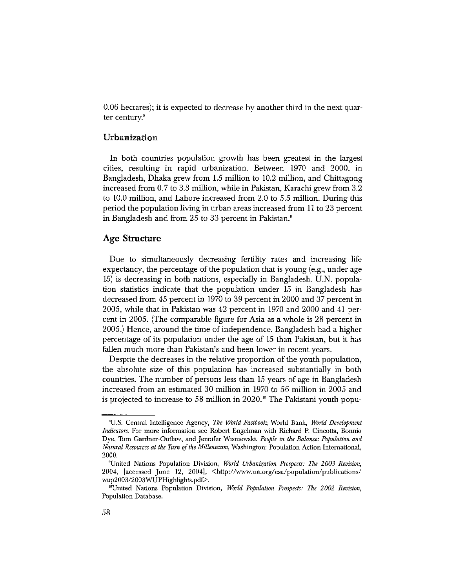0.06 hectares); it is expected to decrease by another third in the next quarter century. $8$ 

#### Urbanization

In both countries population growth has been greatest in the largest cities, resulting in rapid urbanization. Between 1970 and 2000, in Bangladesh, Dhaka grew from 1.5 million to 10.2 million, and Chittagong increased from 0.7 to 3.3 million, while in Pakistan, Karachi grew from 3.2 to 10.0 million, and Lahore increased from 2.0 to 5.5 million. During this period the population living in urban areas increased from 11 to 23 percent in Bangladesh and from 25 to 33 percent in Pakistan.<sup>9</sup>

#### **Age Structure**

Due to simultaneously decreasing fertility rates and increasing life expectancy, the percentage of the population that is young (e.g., under age 15) is decreasing in both nations, especially in Bangladesh. U.N. population statistics indicate that the population under 15 in Bangladesh has decreased from 45 percent in 1970 to 39 percent in 2000 and 37 percent in 2005, while that in Pakistan was 42 percent in 1970 and 2000 and 41 percent in 2005. (The comparable figure for Asia as a whole is 28 percent in 2005.) Hence, around the time of independence, Bangladesh had a higher percentage of its population under the age of 15 than Pakistan, but it has fallen much more than Pakistan's and been lower in recent years.

Despite the decreases in the relative proportion of the youth population, the absolute size of this population has increased substantially in both countries. The number of persons less than 15 years of age in Bangladesh increased from an estimated 30 million in 1970 to 56 million in 2005 and is projected to increase to 58 million in  $2020$ .<sup>10</sup> The Pakistani youth popu-

<sup>&</sup>lt;sup>8</sup>U.S. Central Intelligence Agency, The World Factbook, World Bank, World Development *Indicators.* For more information see Robert Engelman with Richard P. Cincotta, Bonnie Dye, Tom Gardner-Outlaw, and Jennifer Wisniewski, People in the Balance: Population and Natural Resources at the Turn of the Millennium, Washington: Population Action International, 2000.

<sup>&</sup>lt;sup>9</sup>United Nations Population Division, World Urbanization Prospects: The 2003 Revision, 2004, [accessed June 12, 2004], <http://www.un.org/esa/population/publications/  $wup2003/2003WUPHighlights.pdf$ .

<sup>&</sup>lt;sup>10</sup>United Nations Population Division, World Population Prospects: The 2002 Revision, Population Database.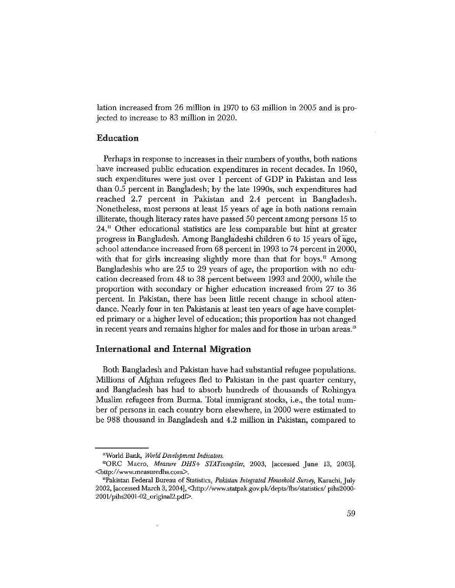lation increased from 26 million in 1970 to 63 million in 2005 and is projected to increase to 83 million in 2020.

#### Education

Perhaps in response to increases in their numbers of youths, both nations have increased public education expenditures in recent decades. In 1960, such expenditures were just over 1 percent of GDP in Pakistan and less than 0.5 percent in Bangladesh; by the late 1990s, such expenditures had reached 2.7 percent in Pakistan and 2.4 percent in Bangladesh. Nonetheless, most persons at least 15 years of age in both nations remain illiterate, though literacy rates have passed 50 percent among persons 15 to  $24.$ " Other educational statistics are less comparable but hint at greater progress in Bangladesh. Among Bangladeshi children 6 to 15 years of age, school attendance increased from 68 percent in 1993 to 74 percent in 2000, with that for girls increasing slightly more than that for boys.<sup>12</sup> Among Bangladeshis who are 25 to 29 years of age, the proportion with no education decreased from 48 to 38 percent between 1993 and 2000, while the proportion with secondary or higher education increased from 27 to 36 percent. In Pakistan, there has been little recent change in school attendance. Nearly four in ten Pakistanis at least ten years of age have completed primary or a higher level of education; this proportion has not changed in recent years and remains higher for males and for those in urban areas.<sup>13</sup>

#### International and Internal Migration

Both Bangladesh and Pakistan have had substantial refugee populations. Millions of Afghan refugees fled to Pakistan in the past quarter century, and Bangladesh has had to absorb hundreds of thousands of Rohingya Muslim refugees from Burma. Total immigrant stocks, i.e., the total number of persons in each country born elsewhere, in 2000 were estimated to be 988 thousand in Bangladesh and 4.2 million in Pakistan, compared to

<sup>&</sup>quot;World Bank, World Development Indicators.

<sup>&</sup>lt;sup>12</sup>ORC Macro, Measure DHS+ STATcompiler, 2003, [accessed June 13, 2003], 

<sup>&</sup>lt;sup>13</sup>Pakistan Federal Bureau of Statistics, Pakistan Integrated Household Survey, Karachi, July 2002, Jaccessed March 3, 2004], <http://www.statpak.gov.pk/depts/fbs/statistics/pihs2000-2001/pihs2001-02\_original2.pdf>.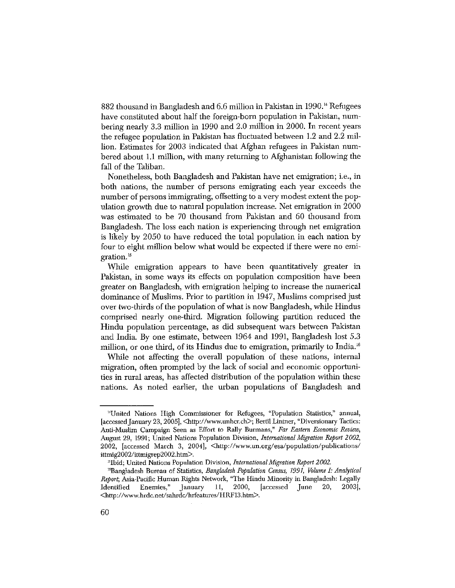882 thousand in Bangladesh and 6.6 million in Pakistan in 1990.<sup>14</sup> Refugees have constituted about half the foreign-born population in Pakistan, numbering nearly 3.3 million in 1990 and 2.0 million in 2000. In recent years the refugee population in Pakistan has fluctuated between 1.2 and 2.2 million. Estimates for 2003 indicated that Afghan refugees in Pakistan numbered about 1.1 million, with many returning to Afghanistan following the fall of the Taliban.

Nonetheless, both Bangladesh and Pakistan have net emigration; *i.e.*, in both nations, the number of persons emigrating each year exceeds the number of persons immigrating, offsetting to a very modest extent the population growth due to natural population increase. Net emigration in 2000 was estimated to be 70 thousand from Pakistan and 60 thousand from Bangladesh. The loss each nation is experiencing through net emigration is likely by 2050 to have reduced the total population in each nation by four to eight million below what would be expected if there were no emigration.<sup>15</sup>

While emigration appears to have been quantitatively greater in Pakistan, in some ways its effects on population composition have been greater on Bangladesh, with emigration helping to increase the numerical dominance of Muslims. Prior to partition in 1947, Muslims comprised just over two-thirds of the population of what is now Bangladesh, while Hindus comprised nearly one-third. Migration following partition reduced the Hindu population percentage, as did subsequent wars between Pakistan and India. By one estimate, between 1964 and 1991, Bangladesh lost 5.3 million, or one third, of its Hindus due to emigration, primarily to India.<sup>16</sup>

While not affecting the overall population of these nations, internal migration, often prompted by the lack of social and economic opportunities in rural areas, has affected distribution of the population within these nations. As noted earlier, the urban populations of Bangladesh and

<sup>&</sup>quot;United Nations High Commissioner for Refugees, "Population Statistics," annual, [accessed January 23, 2005], <http://www.unhcr.ch>; Bertil Lintner, "Diversionary Tactics: Anti-Muslim Campaign Seen as Effort to Rally Burmans," Far Eastern Economic Review, August 29, 1991; United Nations Population Division, International Migration Report 2002, 2002, [accessed March 3, 2004], <http://www.un.org/esa/population/publications/ ittmig2002/ittmigrep2002.htm $>$ .

<sup>&</sup>lt;sup>15</sup>Ibid; United Nations Population Division, International Migration Report 2002.

<sup>&</sup>lt;sup>16</sup>Bangladesh Bureau of Statistics, Bangladesh Population Census, 1991, Volume I: Analytical Report, Asia-Pacific Human Rights Network, "The Hindu Minority in Bangladesh: Legally [accessed June 20, Identified  $\rm{E}{\bf nemies},$  " January  $11, 2000,$ 2003], <http://www.hrdc.net/sahrdc/hrfeatures/HRF13.htm>.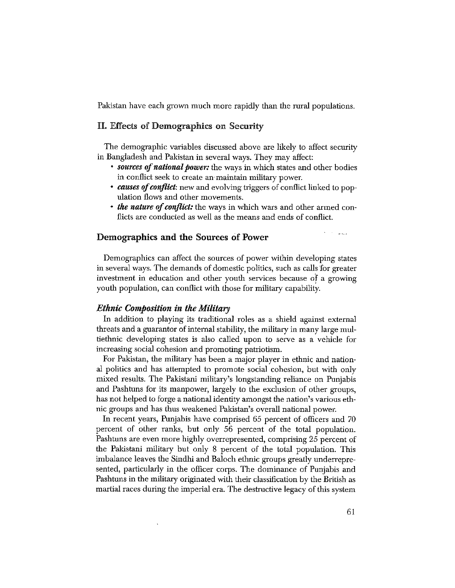Pakistan have each grown much more rapidly than the rural populations.

#### II. Effects of Demographics on Security

The demographic variables discussed above are likely to affect security in Bangladesh and Pakistan in several ways. They may affect:

- sources of national power: the ways in which states and other bodies in conflict seek to create an maintain military power.
- causes of conflict: new and evolving triggers of conflict linked to population flows and other movements.
- *the nature of conflict:* the ways in which wars and other armed conflicts are conducted as well as the means and ends of conflict.

#### Demographics and the Sources of Power

Demographics can affect the sources of power within developing states in several ways. The demands of domestic politics, such as calls for greater investment in education and other youth services because of a growing youth population, can conflict with those for military capability.

#### *Ethnic Composition in the Military*

In addition to playing its traditional roles as a shield against external threats and a guarantor of internal stability, the military in many large multiethnic developing states is also called upon to serve as a vehicle for increasing social cohesion and promoting patriotism.

For Pakistan, the military has been a major player in ethnic and national politics and has attempted to promote social cohesion, but with only mixed results. The Pakistani military's longstanding reliance on Punjabis and Pashtuns for its manpower, largely to the exclusion of other groups, has not helped to forge a national identity amongst the nation's various ethnic groups and has thus weakened Pakistan's overall national power.

In recent years, Punjabis have comprised 65 percent of officers and 70 percent of other ranks, but only 56 percent of the total population. Pashtuns are even more highly overrepresented, comprising 25 percent of the Pakistani military but only 8 percent of the total population. This imbalance leaves the Sindhi and Baloch ethnic groups greatly underrepresented, particularly in the officer corps. The dominance of Punjabis and Pashtuns in the military originated with their classification by the British as martial races during the imperial era. The destructive legacy of this system

لمحادث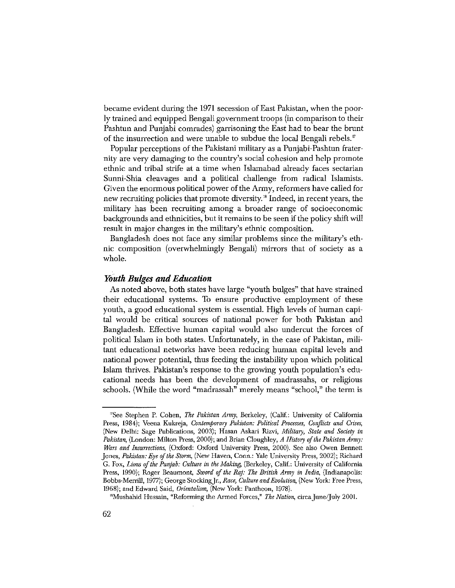became evident during the 1971 secession of East Pakistan, when the poorly trained and equipped Bengali government troops (in comparison to their Pashtun and Punjabi comrades) garrisoning the East had to bear the brunt of the insurrection and were unable to subdue the local Bengali rebels.<sup>17</sup>

Popular perceptions of the Pakistani military as a Punjabi-Pashtun fraternity are very damaging to the country's social cohesion and help promote ethnic and tribal strife at a time when Islamabad already faces sectarian Sunni-Shia cleavages and a political challenge from radical Islamists. Given the enormous political power of the Army, reformers have called for new recruiting policies that promote diversity.<sup>18</sup> Indeed, in recent years, the military has been recruiting among a broader range of socioeconomic backgrounds and ethnicities, but it remains to be seen if the policy shift will result in major changes in the military's ethnic composition.

Bangladesh does not face any similar problems since the military's ethnic composition (overwhelmingly Bengali) mirrors that of society as a whole.

#### **Youth Bulges and Education**

As noted above, both states have large "youth bulges" that have strained their educational systems. To ensure productive employment of these youth, a good educational system is essential. High levels of human capital would be critical sources of national power for both Pakistan and Bangladesh. Effective human capital would also undercut the forces of political Islam in both states. Unfortunately, in the case of Pakistan, militant educational networks have been reducing human capital levels and national power potential, thus feeding the instability upon which political Islam thrives. Pakistan's response to the growing youth population's educational needs has been the development of madrassahs, or religious schools. (While the word "madrassah" merely means "school," the term is

<sup>&</sup>quot;See Stephen P. Cohen, The Pakistan Army, Berkeley, (Calif.: University of California Press, 1984); Veena Kukreja, Contemporary Pakistan: Political Processes, Conflicts and Crises, (New Delhi: Sage Publications, 2003); Hasan Askari Rizvi, Military, State and Society in Pakistan, (London: Milton Press, 2000); and Brian Cloughley, A History of the Pakistan Army: Wars and Insurrections, (Oxford: Oxford University Press, 2000). See also Owen Bennett Jones, Pakistan: Eye of the Storm, (New Haven, Conn.: Yale University Press, 2002); Richard G. Fox, Lions of the Punjab: Culture in the Making, (Berkeley, Calif.: University of California Press, 1990); Roger Beaumont, Sword of the Raj: The British Army in India, (Indianapolis: Bobbs-Merrill, 1977); George Stocking Jr., Race, Culture and Evolution, (New York: Free Press, 1968); and Edward Said, Orientalism, (New York: Pantheon, 1978).

<sup>&</sup>quot;Mushahid Hussain, "Reforming the Armed Forces," The Nation, circa June/July 2001.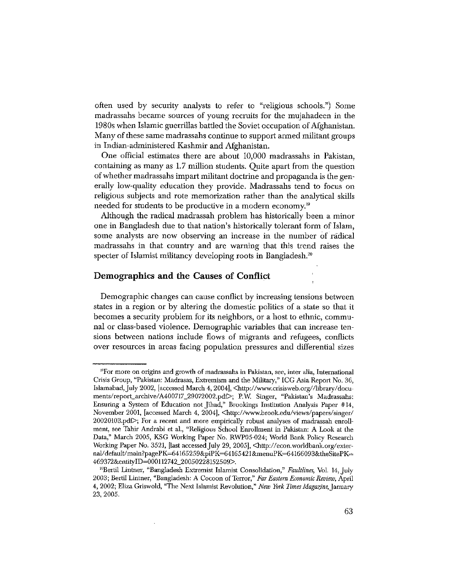often used by security analysts to refer to "religious schools.") Some madrassahs became sources of young recruits for the mujahadeen in the 1980s when Islamic guerrillas battled the Soviet occupation of Afghanistan. Many of these same madrassahs continue to support armed militant groups in Indian-administered Kashmir and Afghanistan.

One official estimates there are about 10,000 madrassahs in Pakistan, containing as many as 1.7 million students. Quite apart from the question of whether madrassahs impart militant doctrine and propaganda is the generally low-quality education they provide. Madrassahs tend to focus on religious subjects and rote memorization rather than the analytical skills needed for students to be productive in a modern economy.<sup>19</sup>

Although the radical madrassah problem has historically been a minor one in Bangladesh due to that nation's historically tolerant form of Islam, some analysts are now observing an increase in the number of radical madrassahs in that country and are warning that this trend raises the specter of Islamist militancy developing roots in Bangladesh.<sup>20</sup>

#### Demographics and the Causes of Conflict

Demographic changes can cause conflict by increasing tensions between states in a region or by altering the domestic politics of a state so that it becomes a security problem for its neighbors, or a host to ethnic, communal or class-based violence. Demographic variables that can increase tensions between nations include flows of migrants and refugees, conflicts over resources in areas facing population pressures and differential sizes

<sup>&</sup>lt;sup>19</sup>For more on origins and growth of madrassahs in Pakistan, see, inter alia, International Crisis Group, "Pakistan: Madrasas, Extremism and the Military," ICG Asia Report No. 36, Islamabad, July 2002, [accessed March 4, 2004], <http://www.crisisweb.org//library/documents/report\_archive/A400717\_29072002.pdf>; P.W. Singer, "Pakistan's Madrassahs: Ensuring a System of Education not Jihad," Brookings Institution Analysis Paper #14, November 2001, [accessed March 4, 2004], <http://www.brook.edu/views/papers/singer/  $20020103$ , pdf>; For a recent and more empirically robust analyses of madrassah enrollment, see Tahir Andrabi et al., "Religious School Enrollment in Pakistan: A Look at the Data," March 2005, KSG Working Paper No. RWP05-024; World Bank Policy Research Working Paper No. 3521, [last accessed July 29, 2005], <a>
Ittp://econ.worldbank.org/external/default/main?pagePK=64165259&piPK=64165421&menuPK=64166093&theSitePK= 469372&entityID=000112742\_20050228152509>.

<sup>&</sup>lt;sup>20</sup>Bertil Lintner, "Bangladesh Extremist Islamist Consolidation," Faultlines, Vol. 14, July 2003; Bertil Lintner, "Bangladesh: A Cocoon of Terror," Far Eastern Economic Review, April 4, 2002; Eliza Griswold, "The Next Islamist Revolution," New York Times Magazine, January 23, 2005.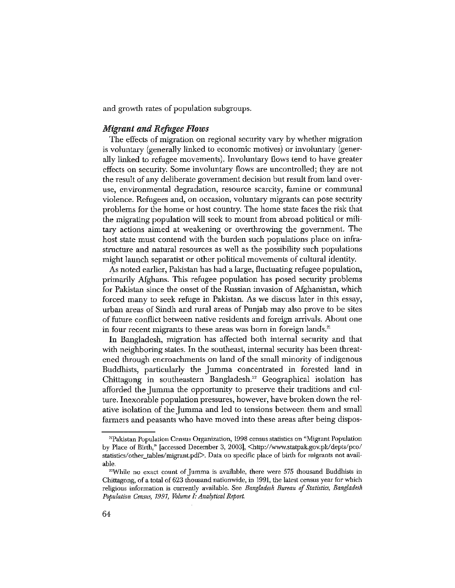and growth rates of population subgroups.

#### **Migrant and Refugee Flows**

The effects of migration on regional security vary by whether migration is voluntary (generally linked to economic motives) or involuntary (generally linked to refugee movements). Involuntary flows tend to have greater effects on security. Some involuntary flows are uncontrolled; they are not the result of any deliberate government decision but result from land overuse, environmental degradation, resource scarcity, famine or communal violence. Refugees and, on occasion, voluntary migrants can pose security problems for the home or host country. The home state faces the risk that the migrating population will seek to mount from abroad political or military actions aimed at weakening or overthrowing the government. The host state must contend with the burden such populations place on infrastructure and natural resources as well as the possibility such populations might launch separatist or other political movements of cultural identity.

As noted earlier, Pakistan has had a large, fluctuating refugee population, primarily Afghans. This refugee population has posed security problems for Pakistan since the onset of the Russian invasion of Afghanistan, which forced many to seek refuge in Pakistan. As we discuss later in this essay, urban areas of Sindh and rural areas of Punjab may also prove to be sites of future conflict between native residents and foreign arrivals. About one in four recent migrants to these areas was born in foreign lands.<sup>21</sup>

In Bangladesh, migration has affected both internal security and that with neighboring states. In the southeast, internal security has been threatened through encroachments on land of the small minority of indigenous Buddhists, particularly the Jumma concentrated in forested land in Chittagong in southeastern Bangladesh.<sup>22</sup> Geographical isolation has afforded the Jumma the opportunity to preserve their traditions and culture. In exorable population pressures, however, have broken down the relative isolation of the Jumma and led to tensions between them and small farmers and peasants who have moved into these areas after being dispos-

<sup>&</sup>lt;sup>21</sup>Pakistan Population Census Organization, 1998 census statistics on "Migrant Population" by Place of Birth," [accessed December 3, 2003], <http://www.statpak.gov.pk/depts/pco/ statistics/other\_tables/migrant.pdf>. Data on specific place of birth for migrants not available.

<sup>&</sup>lt;sup>22</sup>While no exact count of Jumma is available, there were 575 thousand Buddhists in Chittagong, of a total of 623 thousand nationwide, in 1991, the latest census year for which religious information is currently available. See Bangladesh Bureau of Statistics, Bangladesh Population Census, 1991, Volume I: Analytical Report.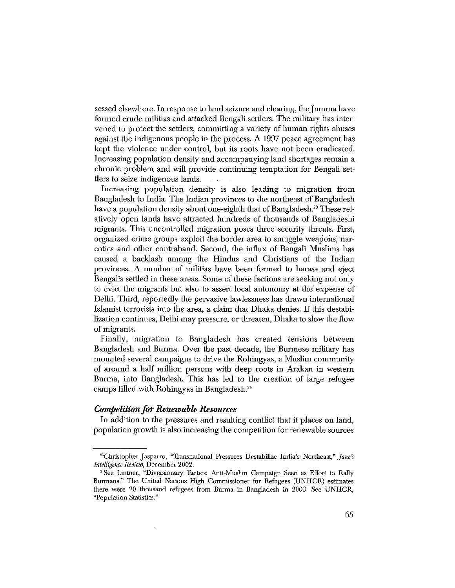sessed elsewhere. In response to land seizure and clearing, the Jumma have formed crude militias and attacked Bengali settlers. The military has intervened to protect the settlers, committing a variety of human rights abuses against the indigenous people in the process. A 1997 peace agreement has kept the violence under control, but its roots have not been eradicated. Increasing population density and accompanying land shortages remain a chronic problem and will provide continuing temptation for Bengali settlers to seize indigenous lands.

Increasing population density is also leading to migration from Bangladesh to India. The Indian provinces to the northeast of Bangladesh have a population density about one-eighth that of Bangladesh.<sup>23</sup> These relatively open lands have attracted hundreds of thousands of Bangladeshi migrants. This uncontrolled migration poses three security threats. First, organized crime groups exploit the border area to smuggle weapons, harcotics and other contraband. Second, the influx of Bengali Muslims has caused a backlash among the Hindus and Christians of the Indian provinces. A number of militias have been formed to harass and eject Bengalis settled in these areas. Some of these factions are seeking not only to evict the migrants but also to assert local autonomy at the expense of Delhi. Third, reportedly the pervasive lawlessness has drawn international Islamist terrorists into the area, a claim that Dhaka denies. If this destabilization continues, Delhi may pressure, or threaten, Dhaka to slow the flow of migrants.

Finally, migration to Bangladesh has created tensions between Bangladesh and Burma. Over the past decade, the Burmese military has mounted several campaigns to drive the Rohingyas, a Muslim community of around a half million persons with deep roots in Arakan in western Burma, into Bangladesh. This has led to the creation of large refugee camps filled with Rohingyas in Bangladesh.<sup>24</sup>

#### **Competition for Renewable Resources**

In addition to the pressures and resulting conflict that it places on land, population growth is also increasing the competition for renewable sources

<sup>&</sup>lt;sup>28</sup>Christopher Jasparro, "Transnational Pressures Destabilize India's Northeast," *Jane's* Intelligence Review, December 2002.

<sup>&</sup>lt;sup>24</sup>See Lintner, "Diversionary Tactics: Anti-Muslim Campaign Seen as Effort to Rally Burmans." The United Nations High Commissioner for Refugees (UNHCR) estimates there were 20 thousand refugees from Burma in Bangladesh in 2003. See UNHCR, "Population Statistics."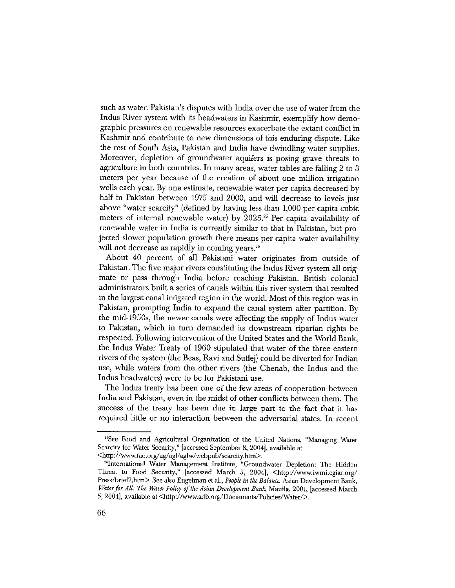such as water. Pakistan's disputes with India over the use of water from the Indus River system with its headwaters in Kashmir, exemplify how demographic pressures on renewable resources exacerbate the extant conflict in Kashmir and contribute to new dimensions of this enduring dispute. Like the rest of South Asia, Pakistan and India have dwindling water supplies. Moreover, depletion of groundwater aquifers is posing grave threats to agriculture in both countries. In many areas, water tables are falling 2 to 3 meters per year because of the creation of about one million irrigation wells each year. By one estimate, renewable water per capita decreased by half in Pakistan between 1975 and 2000, and will decrease to levels just above "water scarcity" (defined by having less than 1,000 per capita cubic meters of internal renewable water) by  $2025.^{25}$  Per capita availability of renewable water in India is currently similar to that in Pakistan, but projected slower population growth there means per capita water availability will not decrease as rapidly in coming years.<sup>26</sup>

About 40 percent of all Pakistani water originates from outside of Pakistan. The five major rivers constituting the Indus River system all originate or pass through India before reaching Pakistan, British colonial administrators built a series of canals within this river system that resulted in the largest canal-irrigated region in the world. Most of this region was in Pakistan, prompting India to expand the canal system after partition. By the mid-1950s, the newer canals were affecting the supply of Indus water to Pakistan, which in turn demanded its downstream riparian rights be respected. Following intervention of the United States and the World Bank, the Indus Water Treaty of 1960 stipulated that water of the three eastern rivers of the system (the Beas, Ravi and Sutlej) could be diverted for Indian use, while waters from the other rivers (the Chenab, the Indus and the Indus headwaters) were to be for Pakistani use.

The Indus treaty has been one of the few areas of cooperation between India and Pakistan, even in the midst of other conflicts between them. The success of the treaty has been due in large part to the fact that it has required little or no interaction between the adversarial states. In recent

<sup>&</sup>lt;sup>25</sup>See Food and Agricultural Organization of the United Nations, "Managing Water Scarcity for Water Security," [accessed September 8, 2004], available at

<sup>&</sup>lt;http://www.fao.org/ag/agl/aglw/webpub/scarcity.htm>.

<sup>&</sup>lt;sup>26</sup>International Water Management Institute, "Groundwater Depletion: The Hidden Threat to Food Security," [accessed March 5, 2004], <http://www.iwmi.cgiar.org/ Press/brief2.htm>. See also Engelman et al., People in the Balance. Asian Development Bank, Water for All: The Water Policy of the Asian Development Bank, Manila, 2001, [accessed March 5, 2004], available at <http://www.adb.org/Documents/Policies/Water/>.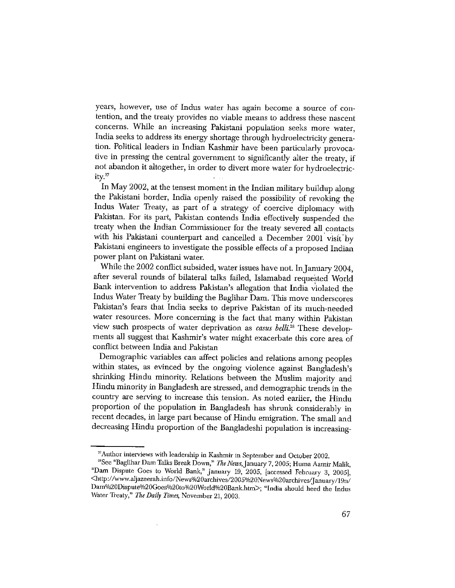years, however, use of Indus water has again become a source of contention, and the treaty provides no viable means to address these nascent concerns. While an increasing Pakistani population seeks more water, India seeks to address its energy shortage through hydroelectricity generation. Political leaders in Indian Kashmir have been particularly provocative in pressing the central government to significantly alter the treaty, if not abandon it altogether, in order to divert more water for hydroelectricity. $27$ 

In May 2002, at the tensest moment in the Indian military buildup along the Pakistani border, India openly raised the possibility of revoking the Indus Water Treaty, as part of a strategy of coercive diplomacy with Pakistan. For its part, Pakistan contends India effectively suspended the treaty when the Indian Commissioner for the treaty severed all contacts with his Pakistani counterpart and cancelled a December 2001 visit by Pakistani engineers to investigate the possible effects of a proposed Indian power plant on Pakistani water.

While the 2002 conflict subsided, water issues have not. In January 2004, after several rounds of bilateral talks failed, Islamabad requested World Bank intervention to address Pakistan's allegation that India violated the Indus Water Treaty by building the Baglihar Dam. This move underscores Pakistan's fears that India seeks to deprive Pakistan of its much-needed water resources. More concerning is the fact that many within Pakistan view such prospects of water deprivation as casus belli.<sup>28</sup> These developments all suggest that Kashmir's water might exacerbate this core area of conflict between India and Pakistan

Demographic variables can affect policies and relations among peoples within states, as evinced by the ongoing violence against Bangladesh's shrinking Hindu minority. Relations between the Muslim majority and Hindu minority in Bangladesh are stressed, and demographic trends in the country are serving to increase this tension. As noted earlier, the Hindu proportion of the population in Bangladesh has shrunk considerably in recent decades, in large part because of Hindu emigration. The small and decreasing Hindu proportion of the Bangladeshi population is increasing-

<sup>&</sup>lt;sup>27</sup>Author interviews with leadership in Kashmir in September and October 2002.

<sup>&</sup>lt;sup>28</sup>See "Baglihar Dam Talks Break Down," The News, January 7, 2005; Huma Aamir Malik, "Dam Dispute Goes to World Bank," January 19, 2005, [accessed February 3, 2005], <http://www.aljazeerah.info/News%20archives/2005%20News%20archives/January/19n/ Dam%20Dispute%20Goes%20to%20World%20Bank.htm>; "India should heed the Indus Water Treaty," The Daily Times, November 21, 2003.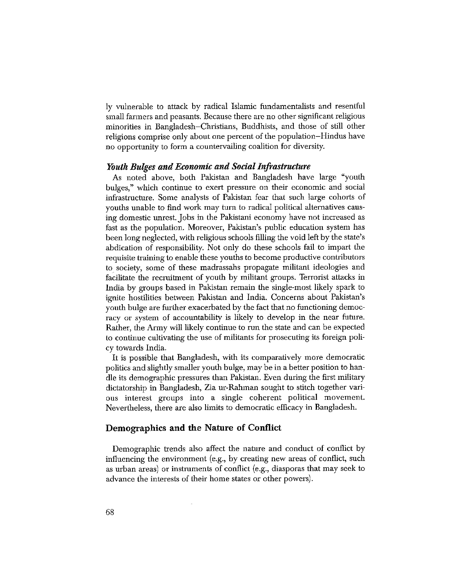ly vulnerable to attack by radical Islamic fundamentalists and resentful small farmers and peasants. Because there are no other significant religious minorities in Bangladesh–Christians, Buddhists, and those of still other religions comprise only about one percent of the population–Hindus have no opportunity to form a countervailing coalition for diversity.

#### Youth Bulges and Economic and Social Infrastructure

As noted above, both Pakistan and Bangladesh have large "youth bulges," which continue to exert pressure on their economic and social infrastructure. Some analysts of Pakistan fear that such large cohorts of youths unable to find work may turn to radical political alternatives causing domestic unrest. Jobs in the Pakistani economy have not increased as fast as the population. Moreover, Pakistan's public education system has been long neglected, with religious schools filling the void left by the state's abdication of responsibility. Not only do these schools fail to impart the requisite training to enable these youths to become productive contributors to society, some of these madrassahs propagate militant ideologies and facilitate the recruitment of youth by militant groups. Terrorist attacks in India by groups based in Pakistan remain the single-most likely spark to ignite hostilities between Pakistan and India. Concerns about Pakistan's youth bulge are further exacerbated by the fact that no functioning democracy or system of accountability is likely to develop in the near future. Rather, the Army will likely continue to run the state and can be expected to continue cultivating the use of militants for prosecuting its foreign policy towards India.

It is possible that Bangladesh, with its comparatively more democratic politics and slightly smaller youth bulge, may be in a better position to handle its demographic pressures than Pakistan. Even during the first military dictatorship in Bangladesh, Zia ur-Rahman sought to stitch together various interest groups into a single coherent political movement. Nevertheless, there are also limits to democratic efficacy in Bangladesh.

#### Demographics and the Nature of Conflict

Demographic trends also affect the nature and conduct of conflict by influencing the environment (e.g., by creating new areas of conflict, such as urban areas) or instruments of conflict (e.g., diasporas that may seek to advance the interests of their home states or other powers).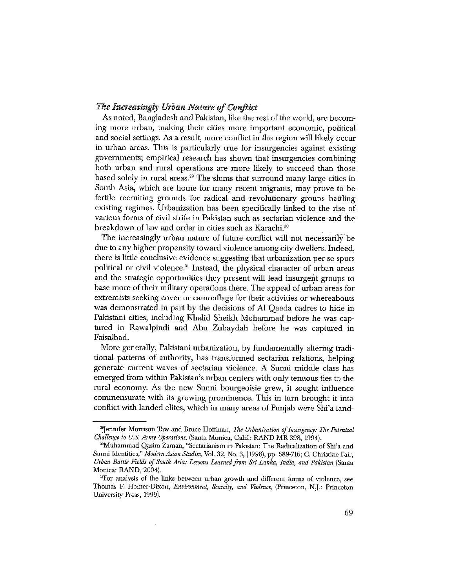#### The Increasingly Urban Nature of Conflict

As noted, Bangladesh and Pakistan, like the rest of the world, are becoming more urban, making their cities more important economic, political and social settings. As a result, more conflict in the region will likely occur in urban areas. This is particularly true for insurgencies against existing governments; empirical research has shown that insurgencies combining both urban and rural operations are more likely to succeed than those based solely in rural areas.<sup>29</sup> The slums that surround many large cities in South Asia, which are home for many recent migrants, may prove to be fertile recruiting grounds for radical and revolutionary groups battling existing regimes. Urbanization has been specifically linked to the rise of various forms of civil strife in Pakistan such as sectarian violence and the breakdown of law and order in cities such as Karachi.<sup>30</sup>

The increasingly urban nature of future conflict will not necessarily be due to any higher propensity toward violence among city dwellers. Indeed, there is little conclusive evidence suggesting that urbanization per se spurs political or civil violence.<sup>31</sup> Instead, the physical character of urban areas and the strategic opportunities they present will lead insurgent groups to base more of their military operations there. The appeal of urban areas for extremists seeking cover or camouflage for their activities or whereabouts was demonstrated in part by the decisions of Al Qaeda cadres to hide in Pakistani cities, including Khalid Sheikh Mohammad before he was captured in Rawalpindi and Abu Zubaydah before he was captured in Faisalbad.

More generally, Pakistani urbanization, by fundamentally altering traditional patterns of authority, has transformed sectarian relations, helping generate current waves of sectarian violence. A Sunni middle class has emerged from within Pakistan's urban centers with only tenuous ties to the rural economy. As the new Sunni bourgeoisie grew, it sought influence commensurate with its growing prominence. This in turn brought it into conflict with landed elites, which in many areas of Punjab were Shi'a land-

<sup>&</sup>lt;sup>29</sup>Jennifer Morrison Taw and Bruce Hoffman, The Urbanization of Insurgency: The Potential Challenge to U.S. Army Operations, (Santa Monica, Calif.: RAND MR-398, 1994).

<sup>&</sup>lt;sup>30</sup>Muhammad Qasim Zaman, "Sectarianism in Pakistan: The Radicalization of Shi'a and Sunni Identities," Modern Asian Studies, Vol. 32, No. 3, (1998), pp. 689-716; C. Christine Fair, Urban Battle Fields of South Asia: Lessons Learned from Sri Lanka, India, and Pakistan (Santa Monica: RAND, 2004).

<sup>&</sup>lt;sup>31</sup>For analysis of the links between urban growth and different forms of violence, see Thomas F. Homer-Dixon, Environment, Scarcity, and Violence, (Princeton, N.J.: Princeton University Press, 1999).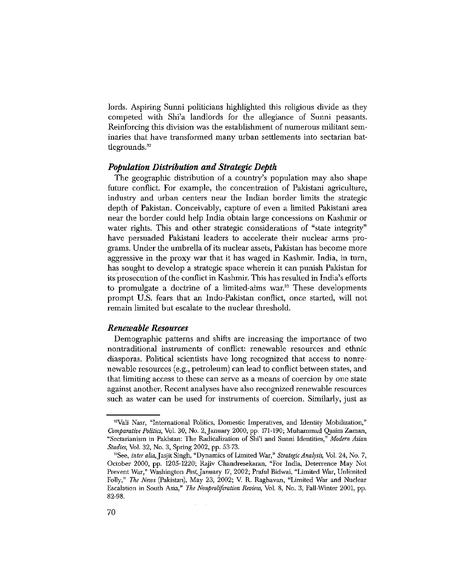lords. Aspiring Sunni politicians highlighted this religious divide as they competed with Shi'a landlords for the allegiance of Sunni peasants. Reinforcing this division was the establishment of numerous militant seminaries that have transformed many urban settlements into sectarian battlegrounds. $32$ 

#### **Population Distribution and Strategic Depth**

The geographic distribution of a country's population may also shape future conflict. For example, the concentration of Pakistani agriculture, industry and urban centers near the Indian border limits the strategic depth of Pakistan. Conceivably, capture of even a limited Pakistani area near the border could help India obtain large concessions on Kashmir or water rights. This and other strategic considerations of "state integrity" have persuaded Pakistani leaders to accelerate their nuclear arms programs. Under the umbrella of its nuclear assets, Pakistan has become more aggressive in the proxy war that it has waged in Kashmir. India, in turn, has sought to develop a strategic space wherein it can punish Pakistan for its prosecution of the conflict in Kashmir. This has resulted in India's efforts to promulgate a doctrine of a limited-aims war.<sup>33</sup> These developments prompt U.S. fears that an Indo-Pakistan conflict, once started, will not remain limited but escalate to the nuclear threshold.

#### **Renewable Resources**

Demographic patterns and shifts are increasing the importance of two nontraditional instruments of conflict: renewable resources and ethnic diasporas. Political scientists have long recognized that access to nonrenewable resources (e.g., petroleum) can lead to conflict between states, and that limiting access to these can serve as a means of coercion by one state against another. Recent analyses have also recognized renewable resources such as water can be used for instruments of coercion. Similarly, just as

<sup>&</sup>lt;sup>32</sup>Vali Nasr, "International Politics, Domestic Imperatives, and Identity Mobilization," Comparative Politics, Vol. 30, No. 2, January 2000, pp. 171-190; Muhammad Qasim Zaman, "Sectarianism in Pakistan: The Radicalization of Shi'i and Sunni Identities," Modern Asian Studies, Vol. 32, No. 3, Spring 2002, pp. 53-73.

<sup>&</sup>lt;sup>33</sup>See, inter alia, Jasjit Singh, "Dynamics of Limited War," Strategic Analysis, Vol. 24, No. 7, October 2000, pp. 1205-1220; Rajiv Chandresekaran, "For India, Deterrence May Not Prevent War," Washington Post, January 17, 2002; Praful Bidwai, "Limited War, Unlimited Folly," The News (Pakistan), May 23, 2002; V. R. Raghavan, "Limited War and Nuclear Escalation in South Asia," The Nonproliferation Review, Vol. 8, No. 3, Fall-Winter 2001, pp. 82-98.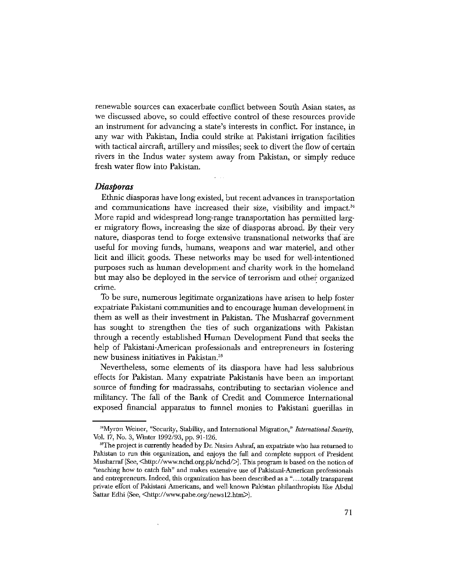renewable sources can exacerbate conflict between South Asian states, as we discussed above, so could effective control of these resources provide an instrument for advancing a state's interests in conflict. For instance, in any war with Pakistan, India could strike at Pakistani irrigation facilities with tactical aircraft, artillery and missiles; seek to divert the flow of certain rivers in the Indus water system away from Pakistan, or simply reduce fresh water flow into Pakistan.

#### **Diasporas**

Ethnic diasporas have long existed, but recent advances in transportation and communications have increased their size, visibility and impact.<sup>34</sup> More rapid and widespread long-range transportation has permitted larger migratory flows, increasing the size of diasporas abroad. By their very nature, diasporas tend to forge extensive transnational networks that are useful for moving funds, humans, weapons and war materiel, and other licit and illicit goods. These networks may be used for well-intentioned purposes such as human development and charity work in the homeland but may also be deployed in the service of terrorism and other organized crime.

To be sure, numerous legitimate organizations have arisen to help foster expatriate Pakistani communities and to encourage human development in them as well as their investment in Pakistan. The Musharraf government has sought to strengthen the ties of such organizations with Pakistan through a recently established Human Development Fund that seeks the help of Pakistani-American professionals and entrepreneurs in fostering new business initiatives in Pakistan.<sup>35</sup>

Nevertheless, some elements of its diaspora have had less salubrious effects for Pakistan. Many expatriate Pakistanis have been an important source of funding for madrassahs, contributing to sectarian violence and militancy. The fall of the Bank of Credit and Commerce International exposed financial apparatus to funnel monies to Pakistani guerillas in

<sup>&</sup>lt;sup>34</sup>Myron Weiner, "Security, Stability, and International Migration," International Security, Vol. 17, No. 3, Winter 1992/93, pp. 91-126.

<sup>&</sup>lt;sup>35</sup>The project is currently headed by Dr. Nasim Ashraf, an expatriate who has returned to Pakistan to run this organization, and enjoys the full and complete support of President Musharraf (See, <http://www.nchd.org.pk/nchd/>). This program is based on the notion of "teaching how to catch fish" and makes extensive use of Pakistani-American professionals and entrepreneurs. Indeed, this organization has been described as a "....totally transparent private effort of Pakistani Americans, and well-known Pakistan philanthropists like Abdul Sattar Edhi (See, <http://www.pabe.org/news12.htm>).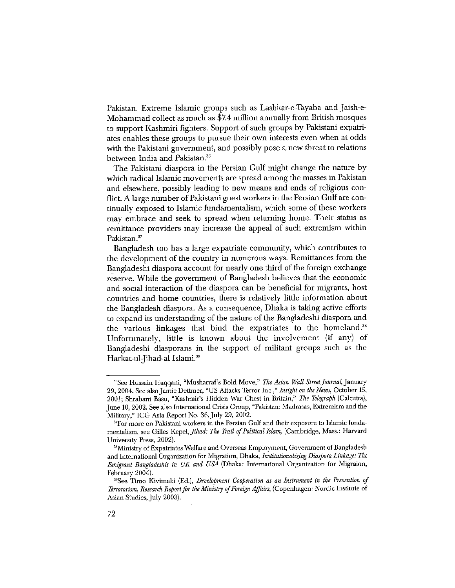Pakistan. Extreme Islamic groups such as Lashkar-e-Tayaba and Jaish-e-Mohammad collect as much as \$7.4 million annually from British mosques to support Kashmiri fighters. Support of such groups by Pakistani expatriates enables these groups to pursue their own interests even when at odds with the Pakistani government, and possibly pose a new threat to relations between India and Pakistan.<sup>36</sup>

The Pakistani diaspora in the Persian Gulf might change the nature by which radical Islamic movements are spread among the masses in Pakistan and elsewhere, possibly leading to new means and ends of religious conflict. A large number of Pakistani guest workers in the Persian Gulf are continually exposed to Islamic fundamentalism, which some of these workers may embrace and seek to spread when returning home. Their status as remittance providers may increase the appeal of such extremism within Pakistan.<sup>37</sup>

Bangladesh too has a large expatriate community, which contributes to the development of the country in numerous ways. Remittances from the Bangladeshi diaspora account for nearly one third of the foreign exchange reserve. While the government of Bangladesh believes that the economic and social interaction of the diaspora can be beneficial for migrants, host countries and home countries, there is relatively little information about the Bangladesh diaspora. As a consequence, Dhaka is taking active efforts to expand its understanding of the nature of the Bangladeshi diaspora and the various linkages that bind the expatriates to the homeland.<sup>38</sup> Unfortunately, little is known about the involvement (if any) of Bangladeshi diasporans in the support of militant groups such as the Harkat-ul-Jihad-al Islami.<sup>39</sup>

<sup>&</sup>lt;sup>36</sup>See Hussain Haqqani, "Musharraf's Bold Move," The Asian Wall Street Journal, January 29, 2004. See also Jamie Dettmer, "US Attacks Terror Inc.," Insight on the News, October 15, 2001; Shrabani Basu, "Kashmir's Hidden War Chest in Britain," The Telegraph (Calcutta), June 10, 2002. See also International Crisis Group, "Pakistan: Madrasas, Extremism and the Military," ICG Asia Report No. 36, July 29, 2002.

<sup>&</sup>lt;sup>37</sup>For more on Pakistani workers in the Persian Gulf and their exposure to Islamic fundamentalism, see Gilles Kepel, Jihad: The Trail of Political Islam, (Cambridge, Mass.: Harvard University Press, 2002).

<sup>&</sup>lt;sup>38</sup>Ministry of Expatriates Welfare and Overseas Employment, Government of Bangladesh and International Organization for Migration, Dhaka, Institutionalizing Diaspora Linkage: The Emigrant Bangladeshis in UK and USA (Dhaka: International Organization for Migraion, February 2004).

<sup>&</sup>lt;sup>39</sup>See Timo Kivimaki (Ed.), *Development Cooperation as an Instrument in the Prevention of* Terrororism, Research Report for the Ministry of Foreign Affairs, (Copenhagen: Nordic Institute of Asian Studies, July 2003).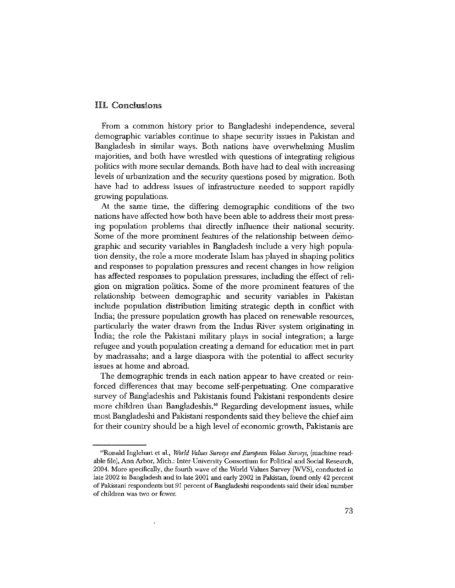#### III. Conclusions

From a common history prior to Bangladeshi independence, several demographic variables continue to shape security issues in Pakistan and Bangladesh in similar ways. Both nations have overwhelming Muslim majorities, and both have wrestled with questions of integrating religious politics with more secular demands. Both have had to deal with increasing levels of urbanization and the security questions posed by migration. Both have had to address issues of infrastructure needed to support rapidly growing populations.

At the same time, the differing demographic conditions of the two nations have affected how both have been able to address their most pressing population problems that directly influence their national security. Some of the more prominent features of the relationship between demographic and security variables in Bangladesh include a very high population density, the role a more moderate Islam has played in shaping politics and responses to population pressures and recent changes in how religion has affected responses to population pressures, including the effect of religion on migration politics. Some of the more prominent features of the relationship between demographic and security variables in Pakistan include population distribution limiting strategic depth in conflict with India; the pressure population growth has placed on renewable resources, particularly the water drawn from the Indus River system originating in India; the role the Pakistani military plays in social integration; a large refugee and youth population creating a demand for education met in part by madrassahs; and a large diaspora with the potential to affect security issues at home and abroad.

The demographic trends in each nation appear to have created or reinforced differences that may become self-perpetuating. One comparative survey of Bangladeshis and Pakistanis found Pakistani respondents desire more children than Bangladeshis.<sup>40</sup> Regarding development issues, while most Bangladeshi and Pakistani respondents said they believe the chief aim for their country should be a high level of economic growth, Pakistanis are

<sup>&</sup>lt;sup>40</sup>Ronald Inglehart et al., World Values Surveys and European Values Surveys, (machine readable file), Ann Arbor, Mich.: Inter-University Consortium for Political and Social Research, 2004. More specifically, the fourth wave of the World Values Survey (WVS), conducted in late 2002 in Bangladesh and in late 2001 and early 2002 in Pakistan, found only 42 percent of Pakistani respondents but 91 percent of Bangladeshi respondents said their ideal number of children was two or fewer.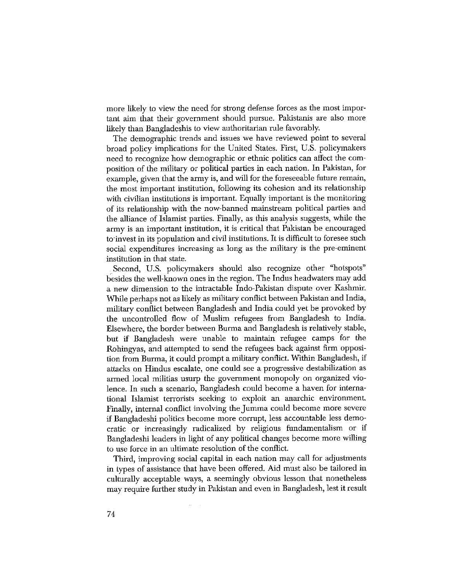more likely to view the need for strong defense forces as the most important aim that their government should pursue. Pakistanis are also more likely than Bangladeshis to view authoritarian rule favorably.

The demographic trends and issues we have reviewed point to several broad policy implications for the United States. First, U.S. policymakers need to recognize how demographic or ethnic politics can affect the composition of the military or political parties in each nation. In Pakistan, for example, given that the army is, and will for the foreseeable future remain, the most important institution, following its cohesion and its relationship with civilian institutions is important. Equally important is the monitoring of its relationship with the now-banned mainstream political parties and the alliance of Islamist parties. Finally, as this analysis suggests, while the army is an important institution, it is critical that Pakistan be encouraged to invest in its population and civil institutions. It is difficult to foresee such social expenditures increasing as long as the military is the pre-eminent institution in that state.

Second, U.S. policymakers should also recognize other "hotspots" besides the well-known ones in the region. The Indus headwaters may add a new dimension to the intractable Indo-Pakistan dispute over Kashmir. While perhaps not as likely as military conflict between Pakistan and India, military conflict between Bangladesh and India could yet be provoked by the uncontrolled flow of Muslim refugees from Bangladesh to India. Elsewhere, the border between Burma and Bangladesh is relatively stable, but if Bangladesh were unable to maintain refugee camps for the Rohingyas, and attempted to send the refugees back against firm opposition from Burma, it could prompt a military conflict. Within Bangladesh, if attacks on Hindus escalate, one could see a progressive destabilization as armed local militias usurp the government monopoly on organized violence. In such a scenario, Bangladesh could become a haven for international Islamist terrorists seeking to exploit an anarchic environment. Finally, internal conflict involving the Jumma could become more severe if Bangladeshi politics become more corrupt, less accountable less democratic or increasingly radicalized by religious fundamentalism or if Bangladeshi leaders in light of any political changes become more willing to use force in an ultimate resolution of the conflict.

Third, improving social capital in each nation may call for adjustments in types of assistance that have been offered. Aid must also be tailored in culturally acceptable ways, a seemingly obvious lesson that nonetheless may require further study in Pakistan and even in Bangladesh, lest it result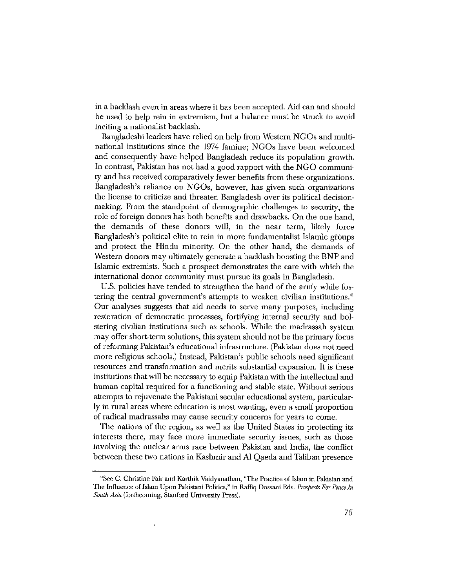in a backlash even in areas where it has been accepted. Aid can and should be used to help rein in extremism, but a balance must be struck to avoid inciting a nationalist backlash.

Bangladeshi leaders have relied on help from Western NGOs and multinational institutions since the 1974 famine; NGOs have been welcomed and consequently have helped Bangladesh reduce its population growth. In contrast, Pakistan has not had a good rapport with the NGO community and has received comparatively fewer benefits from these organizations. Bangladesh's reliance on NGOs, however, has given such organizations the license to criticize and threaten Bangladesh over its political decisionmaking. From the standpoint of demographic challenges to security, the role of foreign donors has both benefits and drawbacks. On the one hand, the demands of these donors will, in the near term, likely force Bangladesh's political elite to rein in more fundamentalist Islamic groups and protect the Hindu minority. On the other hand, the demands of Western donors may ultimately generate a backlash boosting the BNP and Islamic extremists. Such a prospect demonstrates the care with which the international donor community must pursue its goals in Bangladesh.

U.S. policies have tended to strengthen the hand of the army while fostering the central government's attempts to weaken civilian institutions.<sup>41</sup> Our analyses suggests that aid needs to serve many purposes, including restoration of democratic processes, fortifying internal security and bolstering civilian institutions such as schools. While the madrassah system may offer short-term solutions, this system should not be the primary focus of reforming Pakistan's educational infrastructure. (Pakistan does not need more religious schools.) Instead, Pakistan's public schools need significant resources and transformation and merits substantial expansion. It is these institutions that will be necessary to equip Pakistan with the intellectual and human capital required for a functioning and stable state. Without serious attempts to rejuvenate the Pakistani secular educational system, particularly in rural areas where education is most wanting, even a small proportion of radical madrassahs may cause security concerns for years to come.

The nations of the region, as well as the United States in protecting its interests there, may face more immediate security issues, such as those involving the nuclear arms race between Pakistan and India, the conflict between these two nations in Kashmir and Al Qaeda and Taliban presence

<sup>&</sup>lt;sup>41</sup>See C. Christine Fair and Karthik Vaidyanathan, "The Practice of Islam in Pakistan and The Influence of Islam Upon Pakistani Politics," in Raffiq Dossani Eds. Prospects For Peace In South Asia (forthcoming, Stanford University Press).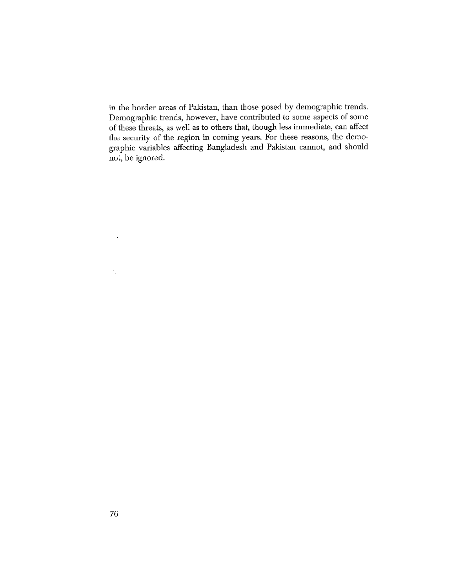in the border areas of Pakistan, than those posed by demographic trends. Demographic trends, however, have contributed to some aspects of some of these threats, as well as to others that, though less immediate, can affect the security of the region in coming years. For these reasons, the demographic variables affecting Bangladesh and Pakistan cannot, and should not, be ignored.

 $\sim$ 

 $\ddot{\phantom{a}}$ 

 $\mathbb{Q}_8$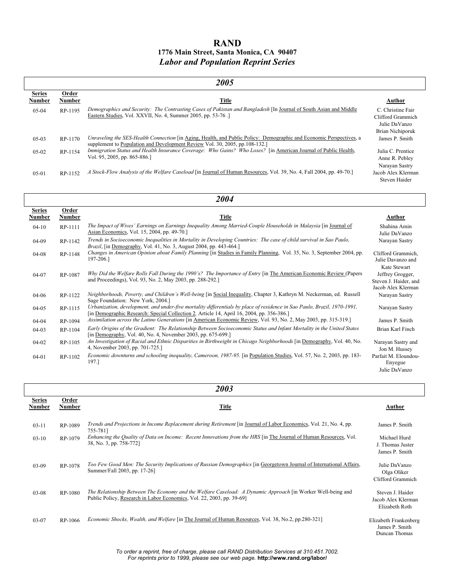### **RAND 1776 Main Street, Santa Monica, CA 90407**  *Labor and Population Reprint Series*

| 2005                           |                        |                                                                                                                                                                                                                       |                                                                             |
|--------------------------------|------------------------|-----------------------------------------------------------------------------------------------------------------------------------------------------------------------------------------------------------------------|-----------------------------------------------------------------------------|
| <b>Series</b><br><b>Number</b> | Order<br><b>Number</b> | <b>Title</b>                                                                                                                                                                                                          | Author                                                                      |
| $0.5 - 0.4$                    | RP-1195                | Demographics and Security: The Contrasting Cases of Pakistan and Bangladesh [In Journal of South Asian and Middle<br>Eastern Studies, Vol. XXVII, No. 4, Summer 2005, pp. 53-76.]                                     | C. Christine Fair<br>Clifford Grammich<br>Julie DaVanzo<br>Brian Nichiporuk |
| $05-03$                        | RP-1170                | Unraveling the SES-Health Connection [in Aging, Health, and Public Policy: Demographic and Economic Perspectives, a<br>supplement to Population and Development Review Vol. 30, 2005, pp.108-132.]                    | James P. Smith                                                              |
| $05-02$                        | RP-1154                | Immigration Status and Health Insurance Coverage: Who Gains? Who Loses? [in American Journal of Public Health,<br>Vol. 95, 2005, pp. 865-886.]                                                                        | Julia C. Prentice<br>Anne R. Pebley<br>Narayan Sastry                       |
| $05 - 01$                      | RP-1152                | A Stock-Flow Analysis of the Welfare Caseload [in Journal of Human Resources, Vol. 39, No. 4, Fall 2004, pp. 49-70.]                                                                                                  | Jacob Alex Klerman<br>Steven Haider                                         |
| 2004                           |                        |                                                                                                                                                                                                                       |                                                                             |
| <b>Series</b><br><b>Number</b> | Order<br><b>Number</b> | <b>Title</b>                                                                                                                                                                                                          | Author                                                                      |
| $04-10$                        | RP-1111                | The Impact of Wives' Earnings on Earnings Inequality Among Married-Couple Households in Malaysia [in Journal of<br>Asian Economics, Vol. 15, 2004, pp. 49-70.]                                                        | Shahina Amin<br>Julie DaVanzo                                               |
| 04-09                          | RP-1142                | Trends in Socioeconomic Inequalities in Mortality in Developing Countries: The case of child survival in Sao Paulo,<br>Brazil, [in Demography, Vol. 41, No. 3, August 2004, pp. 443-464.]                             | Narayan Sastry                                                              |
| $04-08$                        | RP-1148                | Changes in American Opinion about Family Planning [in Studies in Family Planning, Vol. 35, No. 3, September 2004, pp.<br>197-206.]                                                                                    | Clifford Grammich,<br>Julie Davanzo and<br>Kate Stewart                     |
| 04-07                          | RP-1087                | Why Did the Welfare Rolls Fall During the 1990's? The Importance of Entry [in The American Economic Review (Papers<br>and Proceedings), Vol. 93, No. 2, May 2003, pp. 288-292.]                                       | Jeffrey Grogger,<br>Steven J. Haider, and<br>Jacob Alex Klerman             |
| 04-06                          | RP-1122                | Neighborhoods, Poverty, and Children's Well-being [in Social Inequality, Chapter 3, Kathryn M. Neckerman, ed. Russell<br>Sage Foundation: New York, 2004.]                                                            | Narayan Sastry                                                              |
| $04-05$                        | RP-1115                | Urbanization, development, and under-five mortality differentials by place of residence in Sao Paulo, Brazil, 1970-1991,<br>[in Demographic Research: Special Collection 2, Article 14, April 16, 2004, pp. 356-386.] | Narayan Sastry                                                              |
| $04 - 04$                      | RP-1094                | Assimilation across the Latino Generations [in American Economic Review, Vol. 93, No. 2, May 2003, pp. 315-319.]                                                                                                      | James P. Smith                                                              |
| $04-03$                        | RP-1104                | Early Origins of the Gradient: The Relationship Between Socioeconomic Status and Infant Mortality in the United States<br>[in Demography, Vol. 40, No. 4, November 2003, pp. 675-699.]                                | Brian Karl Finch                                                            |
| 04-02                          | RP-1105                | An Investigation of Racial and Ethnic Disparities in Birthweight in Chicago Neighborhoods [in Demography, Vol. 40, No.<br>4, November 2003, pp. 701-725.]                                                             | Narayan Sastry and<br>Jon M. Hussey                                         |
| $04 - 01$                      | RP-1102                | Economic downturns and schooling inequality, Cameroon, 1987-95. [in Population Studies, Vol. 57, No. 2, 2003, pp. 183-<br>197.]                                                                                       | Parfait M. Eloundou-<br>Enyegue<br>Julie DaVanzo                            |

| 2003                    |                 |                                                                                                                                                                                      |                                                          |
|-------------------------|-----------------|--------------------------------------------------------------------------------------------------------------------------------------------------------------------------------------|----------------------------------------------------------|
| <b>Series</b><br>Number | Order<br>Number | Title                                                                                                                                                                                | Author                                                   |
| $03 - 11$               | RP-1089         | Trends and Projections in Income Replacement during Retirement [in Journal of Labor Economics, Vol. 21, No. 4, pp.<br>755-7811                                                       | James P. Smith                                           |
| $03-10$                 | RP-1079         | Enhancing the Quality of Data on Income: Recent Innovations from the HRS [in The Journal of Human Resources, Vol.<br>38, No. 3, pp. 758-772]                                         | Michael Hurd<br>J. Thomas Juster<br>James P. Smith       |
| $03-09$                 | RP-1078         | Too Few Good Men: The Security Implications of Russian Demographics [in Georgetown Journal of International Affairs,<br>Summer/Fall 2003, pp. 17-26]                                 | Julie DaVanzo<br>Olga Oliker<br>Clifford Grammich        |
| $03 - 08$               | RP-1080         | The Relationship Between The Economy and the Welfare Caseload: A Dynamic Approach [in Worker Well-being and<br>Public Policy, Research in Labor Economics, Vol. 22, 2003, pp. 39-69] | Steven J. Haider<br>Jacob Alex Klerman<br>Elizabeth Roth |
| $03-07$                 | RP-1066         | <i>Economic Shocks, Wealth, and Welfare</i> [in The Journal of Human Resources, Vol. 38, No.2, pp.280-321]                                                                           | Elizabeth Frankenberg<br>James P. Smith<br>Duncan Thomas |

*To order a reprint, free of charge, please call RAND Distribution Services at 310.451.7002. For reprints prior to 1999, please see our web page.* **http://www.rand.org/labor/**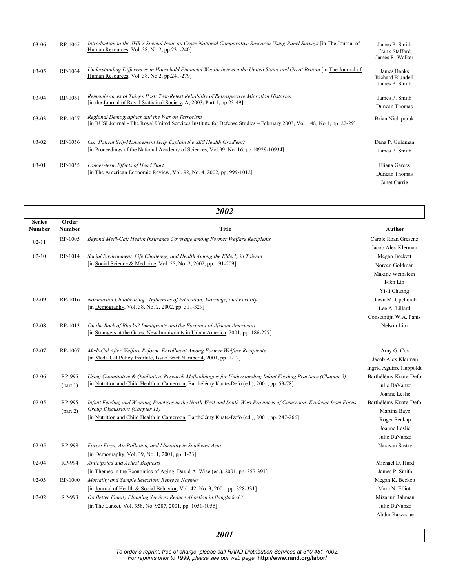| $03-06$   | RP-1065 | Introduction to the JHR's Special Issue on Cross-National Comparative Research Using Panel Surveys [in The Journal of<br>Human Resources, Vol. 38, No.2, pp.231-240]     | James P. Smith<br>Frank Stafford<br>James R. Walker |
|-----------|---------|--------------------------------------------------------------------------------------------------------------------------------------------------------------------------|-----------------------------------------------------|
| $03-05$   | RP-1064 | Understanding Differences in Household Financial Wealth between the United States and Great Britain [in The Journal of<br>Human Resources, Vol. 38, No.2, pp.241-279]    | James Banks<br>Richard Blundell<br>James P. Smith   |
| $03-04$   | RP-1061 | Remembrances of Things Past: Test-Retest Reliability of Retrospective Migration Histories<br>[in the Journal of Royal Statistical Society, A, 2003, Part 1, pp.23-49]    | James P. Smith<br>Duncan Thomas                     |
| $03-03$   | RP-1057 | Regional Demographics and the War on Terrorism<br>[in RUSI Journal - The Royal United Services Institute for Defense Studies – February 2003, Vol. 148, No.1, pp. 22-29] | Brian Nichiporuk                                    |
| $03-02$   | RP-1056 | Can Patient Self-Management Help Explain the SES Health Gradient?<br>[in Proceedings of the National Academy of Sciences, Vol.99, No. 16, pp.10929-10934]                | Dana P. Goldman<br>James P. Smith                   |
| $03 - 01$ | RP-1055 | Longer-term Effects of Head Start<br>[in The American Economic Review, Vol. 92, No. 4, 2002, pp. 999-1012]                                                               | Eliana Garces<br>Duncan Thomas<br>Janet Currie      |

| 2002                           |                 |                                                                                                                  |                         |
|--------------------------------|-----------------|------------------------------------------------------------------------------------------------------------------|-------------------------|
| <b>Series</b><br><b>Number</b> | Order<br>Number | <b>Title</b>                                                                                                     | Author                  |
| $02 - 11$                      | RP-1005         | Beyond Medi-Cal: Health Insurance Coverage among Former Welfare Recipients                                       | Carole Roan Gresenz     |
|                                |                 |                                                                                                                  | Jacob Alex Klerman      |
| $02 - 10$                      | RP-1014         | Social Environment, Life Challenge, and Health Among the Elderly in Taiwan                                       | Megan Beckett           |
|                                |                 | [in Social Science & Medicine, Vol. 55, No. 2, 2002, pp. 191-209]                                                | Noreen Goldman          |
|                                |                 |                                                                                                                  | Maxine Weinstein        |
|                                |                 |                                                                                                                  | I-fen Lin               |
|                                |                 |                                                                                                                  | Yi-li Chuang            |
| $02-09$                        | RP-1016         | Nonmarital Childbearing: Influences of Education, Marriage, and Fertility                                        | Dawn M. Upchurch        |
|                                |                 | [in Demography, Vol. 38, No. 2, 2002, pp. 311-329]                                                               | Lee A. Lillard          |
|                                |                 |                                                                                                                  | Constantijn W.A. Panis  |
| $02 - 08$                      | RP-1013         | On the Back of Blacks? Immigrants and the Fortunes of African Americans                                          | Nelson Lim              |
|                                |                 | [in Strangers at the Gates: New Immigrants in Urban America, 2001, pp. 186-227]                                  |                         |
| $02 - 07$                      | RP-1007         | Medi-Cal After Welfare Reform: Enrollment Among Former Welfare Recipients                                        | Amy G. Cox              |
|                                |                 | [in Medi Cal Policy Institute, Issue Brief Number 4, 2001, pp. 1-12]                                             | Jacob Alex Klerman      |
|                                |                 |                                                                                                                  | Ingrid Aguirre Happoldt |
| $02 - 06$                      | RP-995          | Using Quantitative & Qualitative Research Methodologies for Understanding Infant Feeding Practices (Chapter 2)   | Barthélémy Kuate-Defo   |
|                                | part 1)         | [in Nutrition and Child Health in Cameroon, Barthélémy Kuate-Defo (ed.), 2001, pp. 53-78]                        | Julie DaVanzo           |
|                                |                 |                                                                                                                  | Joanne Leslie           |
| $02-05$                        | RP-995          | Infant Feeding and Weaning Practices in the North-West and South-West Provinces of Cameroon: Evidence from Focus | Barthélémy Kuate-Defo   |
|                                |                 | Group Discussions (Chapter 13)                                                                                   | Martina Baye            |
|                                |                 | [in Nutrition and Child Health in Cameroon, Barthélémy Kuate-Defo (ed.), 2001, pp. 247-266]                      | Roger Seukap            |
|                                |                 |                                                                                                                  | Joanne Leslie           |
|                                |                 |                                                                                                                  | Julie DaVanzo           |
| $02 - 05$                      | RP-998          | Forest Fires, Air Pollution, and Mortality in Southeast Asia                                                     | Narayan Sastry          |
|                                |                 | [in Demography, Vol. 39, No. 1, 2001, pp. 1-23]                                                                  |                         |
| $02 - 04$                      | RP-994          | Anticipated and Actual Bequests                                                                                  | Michael D. Hurd         |
|                                |                 | [in Themes in the Economics of Aging, David A. Wise (ed.), 2001, pp. 357-391]                                    | James P. Smith          |
| $02 - 03$                      | RP-1000         | Mortality and Sample Selection: Reply to Noymer                                                                  | Megan K. Beckett        |
|                                |                 | [in Journal of Health & Social Behavior, Vol. 42, No. 3, 2001, pp. 328-331]                                      | Marc N. Elliott         |
| $02 - 02$                      | RP-993          | Do Better Family Planning Services Reduce Abortion in Bangladesh?                                                | Mizanur Rahman          |
|                                |                 | [in The Lancet, Vol. 358, No. 9287, 2001, pp. 1051-1056]                                                         | Julie DaVanzo           |
|                                |                 |                                                                                                                  | Abdur Razzaque          |

*2001*